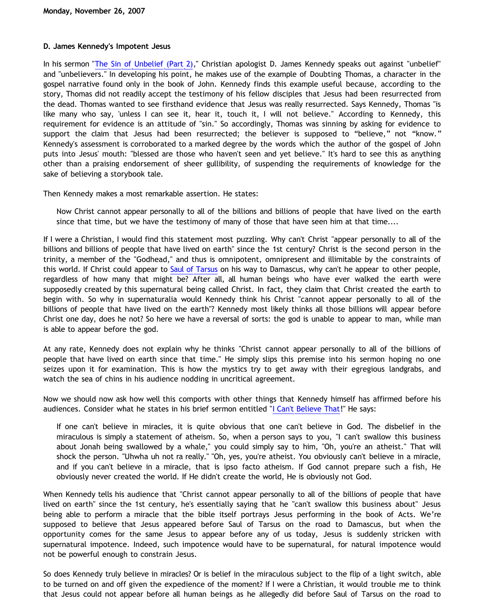## **D. James Kennedy's Impotent Jesus**

In his sermon "[The Sin of Unbelief \(Part 2\)](http://www.coralridge.org./medialibrary.asp?mediaId=3617)," Christian apologist D. James Kennedy speaks out against "unbelief" and "unbelievers." In developing his point, he makes use of the example of Doubting Thomas, a character in the gospel narrative found only in the book of John. Kennedy finds this example useful because, according to the story, Thomas did not readily accept the testimony of his fellow disciples that Jesus had been resurrected from the dead. Thomas wanted to see firsthand evidence that Jesus was really resurrected. Says Kennedy, Thomas "is like many who say, 'unless I can see it, hear it, touch it, I will not believe." According to Kennedy, this requirement for evidence is an attitude of "sin." So accordingly, Thomas was sinning by asking for evidence to support the claim that Jesus had been resurrected; the believer is supposed to "believe," not "know." Kennedy's assessment is corroborated to a marked degree by the words which the author of the gospel of John puts into Jesus' mouth: "blessed are those who haven't seen and yet believe." It's hard to see this as anything other than a praising endorsement of sheer gullibility, of suspending the requirements of knowledge for the sake of believing a storybook tale.

Then Kennedy makes a most remarkable assertion. He states:

Now Christ cannot appear personally to all of the billions and billions of people that have lived on the earth since that time, but we have the testimony of many of those that have seen him at that time....

If I were a Christian, I would find this statement most puzzling. Why can't Christ "appear personally to all of the billions and billions of people that have lived on earth" since the 1st century? Christ is the second person in the trinity, a member of the "Godhead," and thus is omnipotent, omnipresent and illimitable by the constraints of this world. If Christ could appear to [Saul of Tarsus](http://bahnsenburner.blogspot.com/2007/06/problem-of-saul.html) on his way to Damascus, why can't he appear to other people, regardless of how many that might be? After all, all human beings who have ever walked the earth were supposedly created by this supernatural being called Christ. In fact, they claim that Christ created the earth to begin with. So why in supernaturalia would Kennedy think his Christ "cannot appear personally to all of the billions of people that have lived on the earth"? Kennedy most likely thinks all those billions will appear before Christ one day, does he not? So here we have a reversal of sorts: the god is unable to appear to man, while man is able to appear before the god.

At any rate, Kennedy does not explain why he thinks "Christ cannot appear personally to all of the billions of people that have lived on earth since that time." He simply slips this premise into his sermon hoping no one seizes upon it for examination. This is how the mystics try to get away with their egregious landgrabs, and watch the sea of chins in his audience nodding in uncritical agreement.

Now we should now ask how well this comports with other things that Kennedy himself has affirmed before his audiences. Consider what he states in his brief sermon entitled "[I Can't Believe That!](http://www.coralridge.org./medialibrary.asp?mediaId=2647)" He says:

If one can't believe in miracles, it is quite obvious that one can't believe in God. The disbelief in the miraculous is simply a statement of atheism. So, when a person says to you, "I can't swallow this business about Jonah being swallowed by a whale," you could simply say to him, "Oh, you're an atheist." That will shock the person. "Uhwha uh not ra really." "Oh, yes, you're atheist. You obviously can't believe in a miracle, and if you can't believe in a miracle, that is ipso facto atheism. If God cannot prepare such a fish, He obviously never created the world. If He didn't create the world, He is obviously not God.

When Kennedy tells his audience that "Christ cannot appear personally to all of the billions of people that have lived on earth" since the 1st century, he's essentially saying that he "can't swallow this business about" Jesus being able to perform a miracle that the bible itself portrays Jesus performing in the book of Acts. We're supposed to believe that Jesus appeared before Saul of Tarsus on the road to Damascus, but when the opportunity comes for the same Jesus to appear before any of us today, Jesus is suddenly stricken with supernatural impotence. Indeed, such impotence would have to be supernatural, for natural impotence would not be powerful enough to constrain Jesus.

So does Kennedy truly believe in miracles? Or is belief in the miraculous subject to the flip of a light switch, able to be turned on and off given the expedience of the moment? If I were a Christian, it would trouble me to think that Jesus could not appear before all human beings as he allegedly did before Saul of Tarsus on the road to